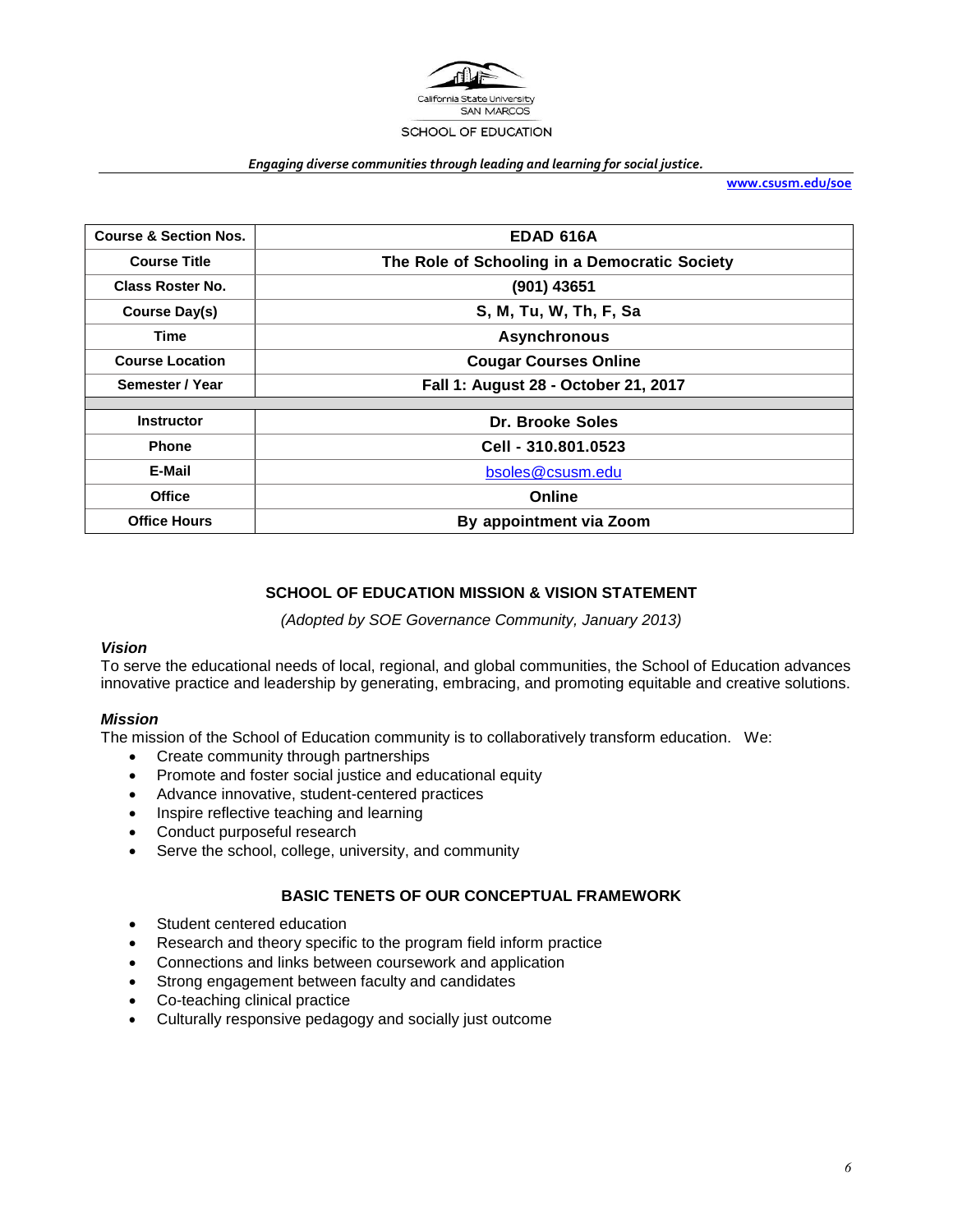

#### *Engaging diverse communities through leading and learning for social justice.*

**[www.csusm.edu/soe](http://www.csusm.edu/soe)**

| <b>Course &amp; Section Nos.</b> | <b>EDAD 616A</b>                              |  |  |  |
|----------------------------------|-----------------------------------------------|--|--|--|
| <b>Course Title</b>              | The Role of Schooling in a Democratic Society |  |  |  |
| <b>Class Roster No.</b>          | (901) 43651                                   |  |  |  |
| Course Day(s)                    | S, M, Tu, W, Th, F, Sa                        |  |  |  |
| Time                             | <b>Asynchronous</b>                           |  |  |  |
| <b>Course Location</b>           | <b>Cougar Courses Online</b>                  |  |  |  |
| Semester / Year                  | Fall 1: August 28 - October 21, 2017          |  |  |  |
|                                  |                                               |  |  |  |
| <b>Instructor</b>                | Dr. Brooke Soles                              |  |  |  |
| <b>Phone</b>                     | Cell - 310.801.0523                           |  |  |  |
| E-Mail                           | bsoles@csusm.edu                              |  |  |  |
| <b>Office</b>                    | Online                                        |  |  |  |
| <b>Office Hours</b>              | By appointment via Zoom                       |  |  |  |

#### **SCHOOL OF EDUCATION MISSION & VISION STATEMENT**

*(Adopted by SOE Governance Community, January 2013)*

#### *Vision*

To serve the educational needs of local, regional, and global communities, the School of Education advances innovative practice and leadership by generating, embracing, and promoting equitable and creative solutions.

#### *Mission*

The mission of the School of Education community is to collaboratively transform education. We:

- Create community through partnerships
- Promote and foster social justice and educational equity
- Advance innovative, student-centered practices
- Inspire reflective teaching and learning
- Conduct purposeful research
- Serve the school, college, university, and community

#### **BASIC TENETS OF OUR CONCEPTUAL FRAMEWORK**

- Student centered education
- Research and theory specific to the program field inform practice
- Connections and links between coursework and application
- Strong engagement between faculty and candidates
- Co-teaching clinical practice
- Culturally responsive pedagogy and socially just outcome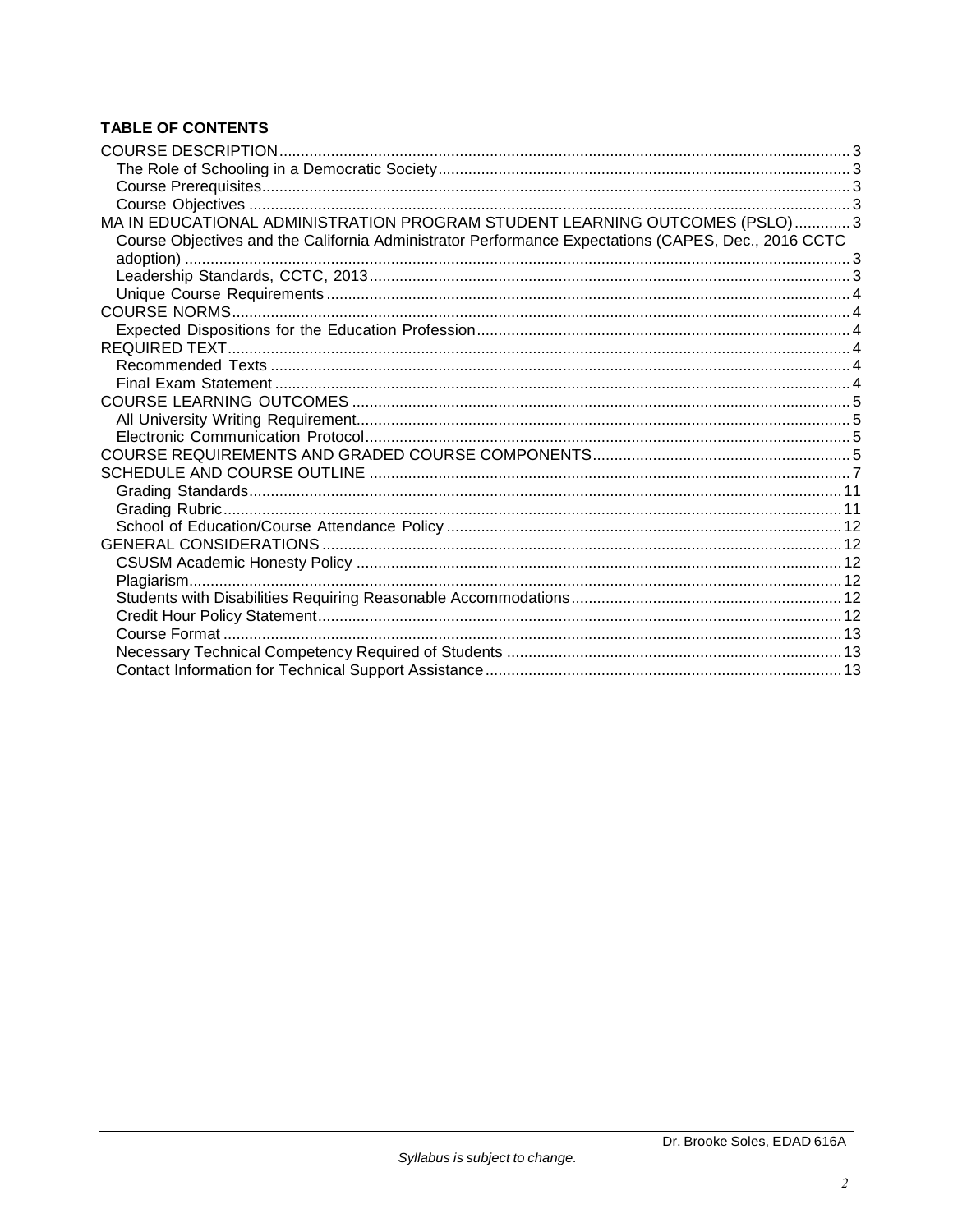# **TABLE OF CONTENTS**

| MA IN EDUCATIONAL ADMINISTRATION PROGRAM STUDENT LEARNING OUTCOMES (PSLO)3                          |  |
|-----------------------------------------------------------------------------------------------------|--|
| Course Objectives and the California Administrator Performance Expectations (CAPES, Dec., 2016 CCTC |  |
|                                                                                                     |  |
|                                                                                                     |  |
|                                                                                                     |  |
|                                                                                                     |  |
|                                                                                                     |  |
|                                                                                                     |  |
|                                                                                                     |  |
|                                                                                                     |  |
|                                                                                                     |  |
|                                                                                                     |  |
|                                                                                                     |  |
|                                                                                                     |  |
|                                                                                                     |  |
|                                                                                                     |  |
|                                                                                                     |  |
|                                                                                                     |  |
|                                                                                                     |  |
|                                                                                                     |  |
|                                                                                                     |  |
|                                                                                                     |  |
|                                                                                                     |  |
|                                                                                                     |  |
|                                                                                                     |  |
|                                                                                                     |  |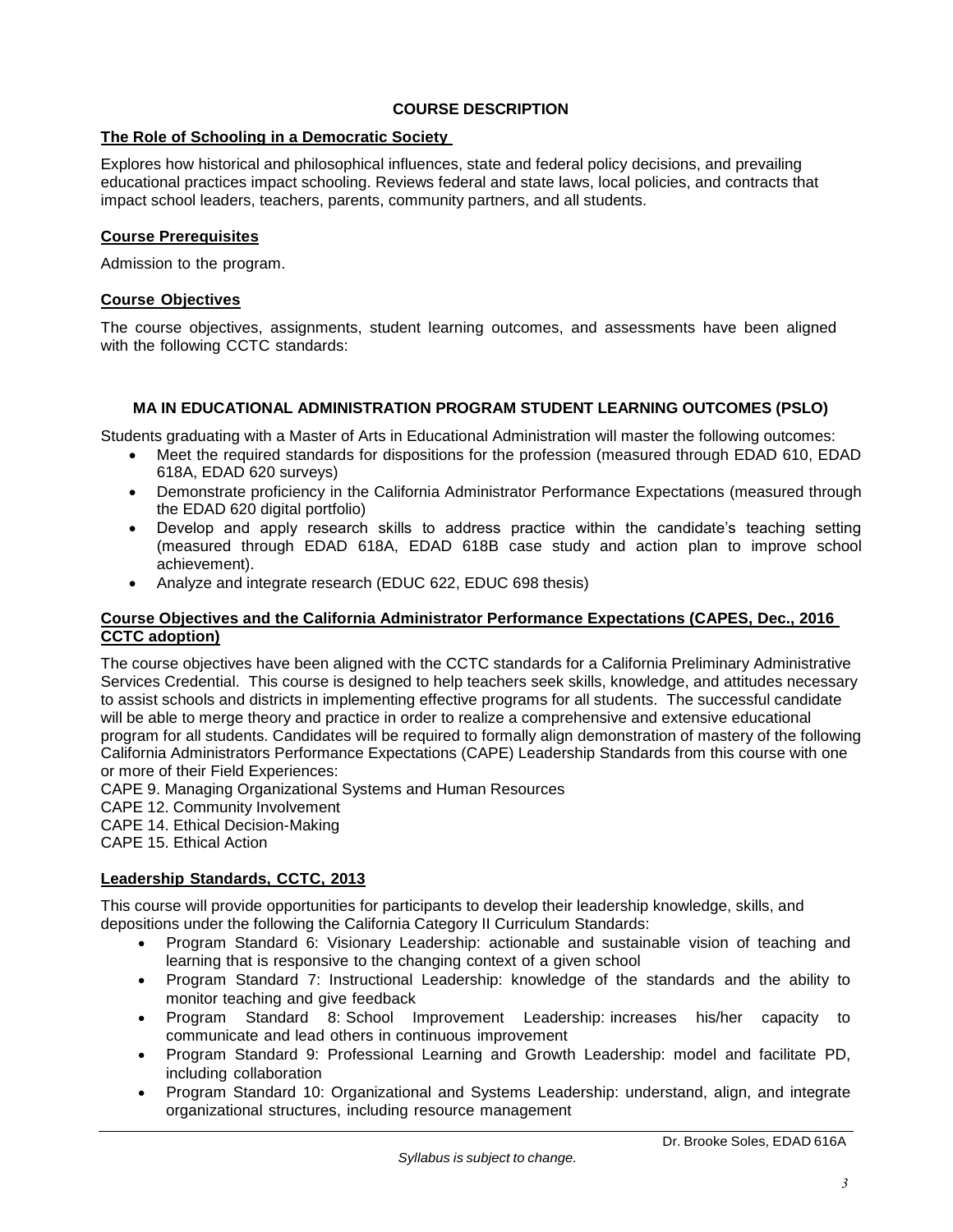# **COURSE DESCRIPTION**

# <span id="page-2-1"></span><span id="page-2-0"></span>**The Role of Schooling in a Democratic Society**

Explores how historical and philosophical influences, state and federal policy decisions, and prevailing educational practices impact schooling. Reviews federal and state laws, local policies, and contracts that impact school leaders, teachers, parents, community partners, and all students.

# <span id="page-2-2"></span>**Course Prerequisites**

Admission to the program.

# <span id="page-2-3"></span>**Course Objectives**

The course objectives, assignments, student learning outcomes, and assessments have been aligned with the following CCTC standards:

# **MA IN EDUCATIONAL ADMINISTRATION PROGRAM STUDENT LEARNING OUTCOMES (PSLO)**

<span id="page-2-4"></span>Students graduating with a Master of Arts in Educational Administration will master the following outcomes:

- Meet the required standards for dispositions for the profession (measured through EDAD 610, EDAD 618A, EDAD 620 surveys)
- Demonstrate proficiency in the California Administrator Performance Expectations (measured through the EDAD 620 digital portfolio)
- Develop and apply research skills to address practice within the candidate's teaching setting (measured through EDAD 618A, EDAD 618B case study and action plan to improve school achievement).
- Analyze and integrate research (EDUC 622, EDUC 698 thesis)

#### <span id="page-2-5"></span>**Course Objectives and the California Administrator Performance Expectations (CAPES, Dec., 2016 CCTC adoption)**

The course objectives have been aligned with the CCTC standards for a California Preliminary Administrative Services Credential. This course is designed to help teachers seek skills, knowledge, and attitudes necessary to assist schools and districts in implementing effective programs for all students. The successful candidate will be able to merge theory and practice in order to realize a comprehensive and extensive educational program for all students. Candidates will be required to formally align demonstration of mastery of the following California Administrators Performance Expectations (CAPE) Leadership Standards from this course with one or more of their Field Experiences:

CAPE 9. Managing Organizational Systems and Human Resources

- CAPE 12. Community Involvement
- CAPE 14. Ethical Decision-Making
- CAPE 15. Ethical Action

# <span id="page-2-6"></span>**Leadership Standards, CCTC, 2013**

This course will provide opportunities for participants to develop their leadership knowledge, skills, and depositions under the following the California Category II Curriculum Standards:

- Program Standard 6: Visionary Leadership: actionable and sustainable vision of teaching and learning that is responsive to the changing context of a given school
- Program Standard 7: Instructional Leadership: knowledge of the standards and the ability to monitor teaching and give feedback
- Program Standard 8: School Improvement Leadership: increases his/her capacity to communicate and lead others in continuous improvement
- Program Standard 9: Professional Learning and Growth Leadership: model and facilitate PD, including collaboration
- Program Standard 10: Organizational and Systems Leadership: understand, align, and integrate organizational structures, including resource management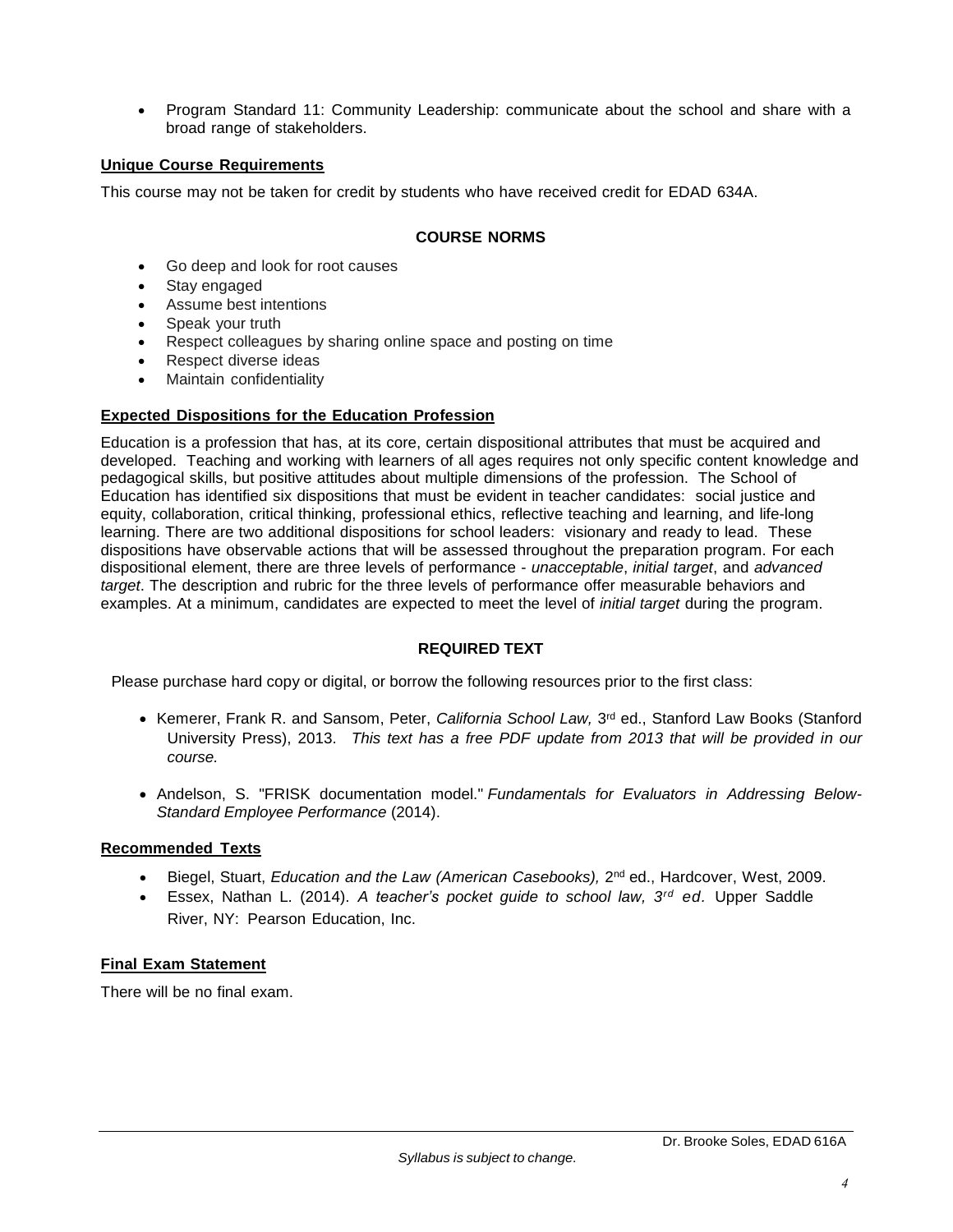Program Standard 11: Community Leadership: communicate about the school and share with a broad range of stakeholders.

# <span id="page-3-0"></span>**Unique Course Requirements**

<span id="page-3-1"></span>This course may not be taken for credit by students who have received credit for EDAD 634A.

# **COURSE NORMS**

- Go deep and look for root causes
- Stay engaged
- Assume best intentions
- Speak your truth
- Respect colleagues by sharing online space and posting on time
- Respect diverse ideas
- Maintain confidentiality

# <span id="page-3-2"></span>**Expected Dispositions for the Education Profession**

Education is a profession that has, at its core, certain dispositional attributes that must be acquired and developed. Teaching and working with learners of all ages requires not only specific content knowledge and pedagogical skills, but positive attitudes about multiple dimensions of the profession. The School of Education has identified six dispositions that must be evident in teacher candidates: social justice and equity, collaboration, critical thinking, professional ethics, reflective teaching and learning, and life-long learning. There are two additional dispositions for school leaders: visionary and ready to lead. These dispositions have observable actions that will be assessed throughout the preparation program. For each dispositional element, there are three levels of performance - *unacceptable*, *initial target*, and *advanced target*. The description and rubric for the three levels of performance offer measurable behaviors and examples. At a minimum, candidates are expected to meet the level of *initial target* during the program.

# **REQUIRED TEXT**

<span id="page-3-3"></span>Please purchase hard copy or digital, or borrow the following resources prior to the first class:

- **Kemerer, Frank R. and Sansom, Peter,** *California School Law, 3***<sup>rd</sup> ed., Stanford Law Books (Stanford** University Press), 2013. *This text has a free PDF update from 2013 that will be provided in our course.*
- Andelson, S. "FRISK documentation model." Fundamentals for Evaluators in Addressing Below-*Standard Employee Performance* (2014).

# <span id="page-3-4"></span>**Recommended Texts**

- Biegel, Stuart, *Education and the Law (American Casebooks),* 2 nd ed., Hardcover, West, 2009.
- Essex, Nathan L. (2014). *A teacher's pocket guide to school law, 3 rd ed.* Upper Saddle River, NY: Pearson Education, Inc.

# <span id="page-3-5"></span>**Final Exam Statement**

There will be no final exam.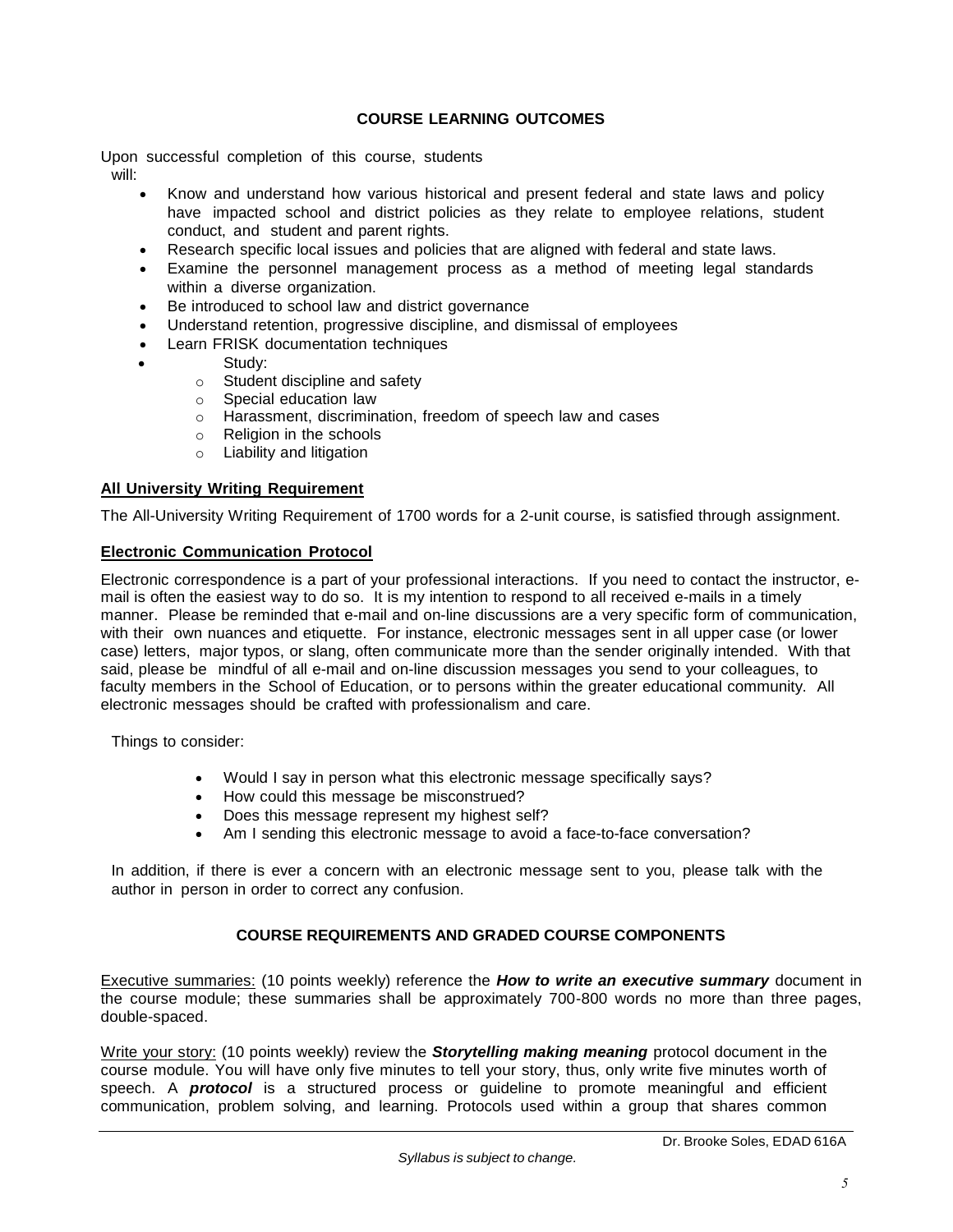# **COURSE LEARNING OUTCOMES**

<span id="page-4-0"></span>Upon successful completion of this course, students will:

- Know and understand how various historical and present federal and state laws and policy have impacted school and district policies as they relate to employee relations, student conduct, and student and parent rights.
- Research specific local issues and policies that are aligned with federal and state laws.
- Examine the personnel management process as a method of meeting legal standards within a diverse organization.
- Be introduced to school law and district governance
- Understand retention, progressive discipline, and dismissal of employees
- Learn FRISK documentation techniques
- Study:
	- o Student discipline and safety
	- o Special education law
	- o Harassment, discrimination, freedom of speech law and cases
	- o Religion in the schools
	- o Liability and litigation

# <span id="page-4-1"></span>**All University Writing Requirement**

The All-University Writing Requirement of 1700 words for a 2-unit course, is satisfied through assignment.

# <span id="page-4-2"></span>**Electronic Communication Protocol**

Electronic correspondence is a part of your professional interactions. If you need to contact the instructor, email is often the easiest way to do so. It is my intention to respond to all received e-mails in a timely manner. Please be reminded that e-mail and on-line discussions are a very specific form of communication, with their own nuances and etiquette. For instance, electronic messages sent in all upper case (or lower case) letters, major typos, or slang, often communicate more than the sender originally intended. With that said, please be mindful of all e-mail and on-line discussion messages you send to your colleagues, to faculty members in the School of Education, or to persons within the greater educational community. All electronic messages should be crafted with professionalism and care.

Things to consider:

- Would I say in person what this electronic message specifically says?
- How could this message be misconstrued?
- Does this message represent my highest self?
- Am I sending this electronic message to avoid a face-to-face conversation?

In addition, if there is ever a concern with an electronic message sent to you, please talk with the author in person in order to correct any confusion.

# **COURSE REQUIREMENTS AND GRADED COURSE COMPONENTS**

<span id="page-4-3"></span>Executive summaries: (10 points weekly) reference the *How to write an executive summary* document in the course module; these summaries shall be approximately 700-800 words no more than three pages, double-spaced.

Write your story: (10 points weekly) review the *Storytelling making meaning* protocol document in the course module. You will have only five minutes to tell your story, thus, only write five minutes worth of speech. A *protocol* is a structured process or guideline to promote meaningful and efficient communication, problem solving, and learning. Protocols used within a group that shares common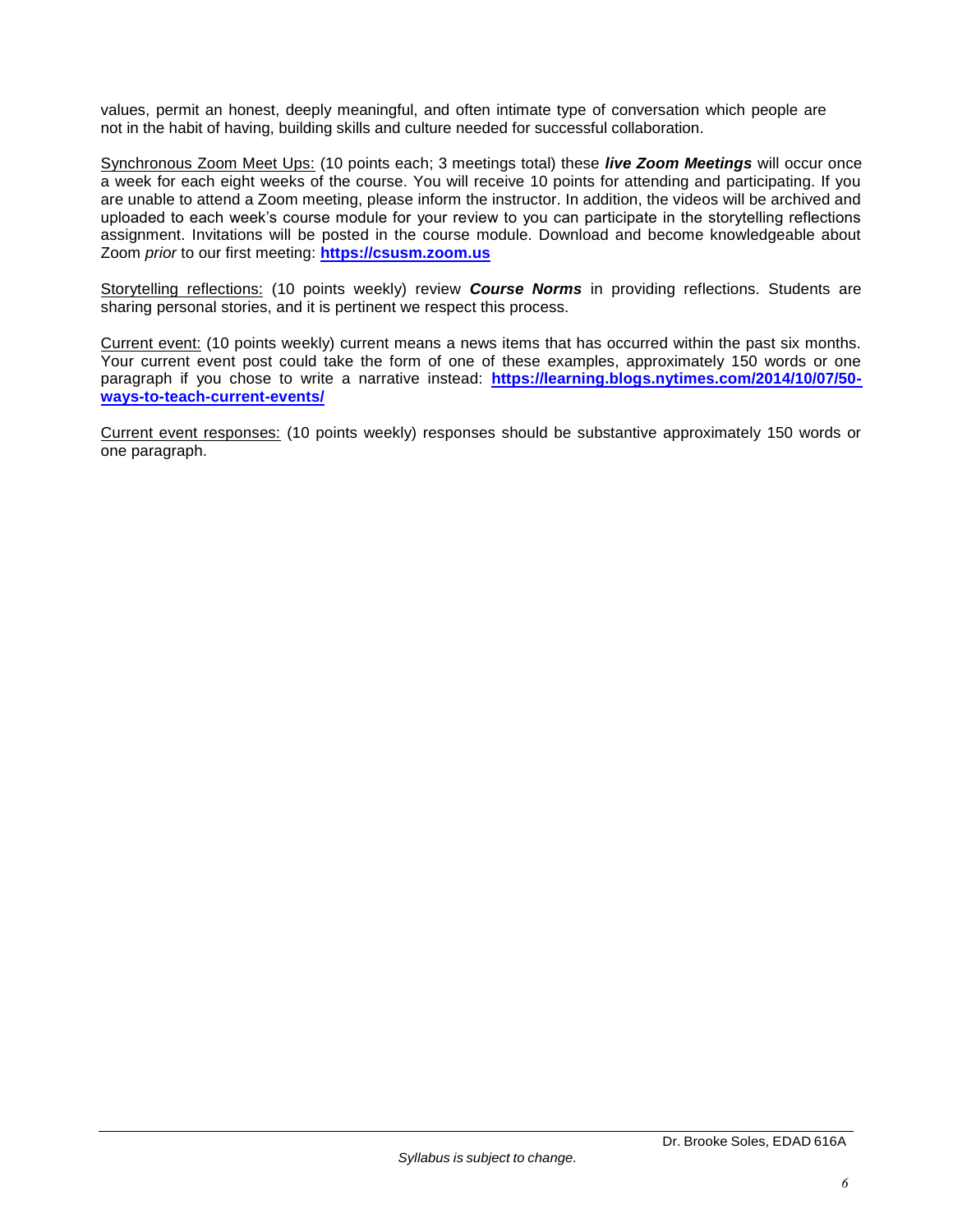values, permit an honest, deeply meaningful, and often intimate type of conversation which people are not in the habit of having, building skills and culture needed for successful collaboration.

Synchronous Zoom Meet Ups: (10 points each; 3 meetings total) these *live Zoom Meetings* will occur once a week for each eight weeks of the course. You will receive 10 points for attending and participating. If you are unable to attend a Zoom meeting, please inform the instructor. In addition, the videos will be archived and uploaded to each week's course module for your review to you can participate in the storytelling reflections assignment. Invitations will be posted in the course module. Download and become knowledgeable about Zoom *prior* to our first meeting: **[https://csusm.zoom.us](https://csusm.zoom.us/)**

Storytelling reflections: (10 points weekly) review *Course Norms* in providing reflections. Students are sharing personal stories, and it is pertinent we respect this process.

Current event: (10 points weekly) current means a news items that has occurred within the past six months. Your current event post could take the form of one of these examples, approximately 150 words or one paragraph if you chose to write a narrative instead: **[https://learning.blogs.nytimes.com/2014/10/07/50](https://learning.blogs.nytimes.com/2014/10/07/50-ways-to-teach-current-events/) [ways-to-teach-current-events/](https://learning.blogs.nytimes.com/2014/10/07/50-ways-to-teach-current-events/)**

Current event responses: (10 points weekly) responses should be substantive approximately 150 words or one paragraph.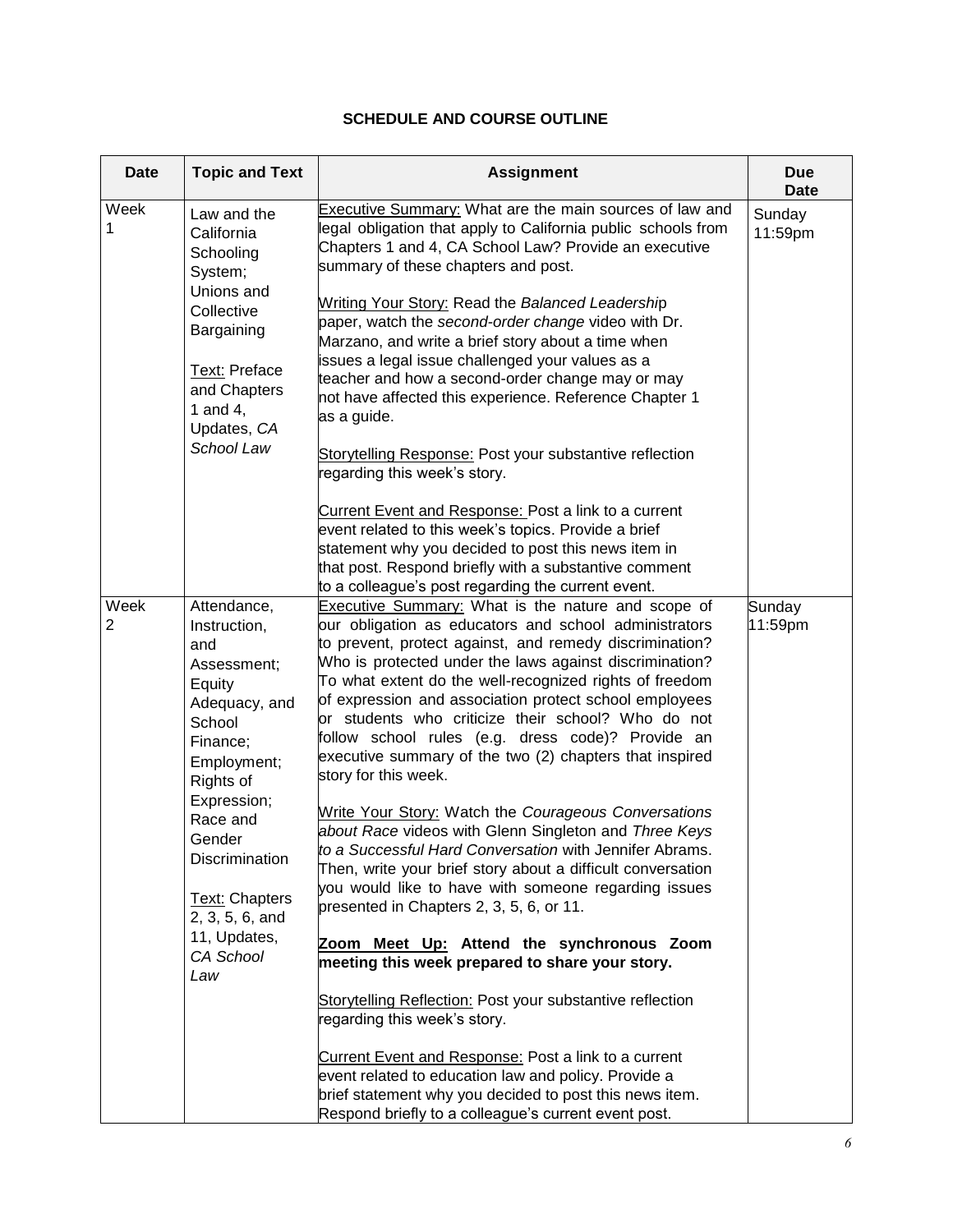# **SCHEDULE AND COURSE OUTLINE**

<span id="page-6-0"></span>

| <b>Date</b> | <b>Topic and Text</b>                                                                                                          | <b>Assignment</b>                                                                                                                                                                                                                                                                                                                                                                                                                                                                                                                                    | <b>Due</b><br>Date |
|-------------|--------------------------------------------------------------------------------------------------------------------------------|------------------------------------------------------------------------------------------------------------------------------------------------------------------------------------------------------------------------------------------------------------------------------------------------------------------------------------------------------------------------------------------------------------------------------------------------------------------------------------------------------------------------------------------------------|--------------------|
| Week<br>1   | Law and the<br>California<br>Schooling<br>System;<br>Unions and                                                                | Executive Summary: What are the main sources of law and<br>legal obligation that apply to California public schools from<br>Chapters 1 and 4, CA School Law? Provide an executive<br>summary of these chapters and post.                                                                                                                                                                                                                                                                                                                             | Sunday<br>11:59pm  |
|             | Collective<br>Bargaining                                                                                                       | Writing Your Story: Read the Balanced Leadership<br>paper, watch the second-order change video with Dr.<br>Marzano, and write a brief story about a time when<br>issues a legal issue challenged your values as a                                                                                                                                                                                                                                                                                                                                    |                    |
|             | Text: Preface<br>and Chapters<br>1 and 4,<br>Updates, CA                                                                       | teacher and how a second-order change may or may<br>not have affected this experience. Reference Chapter 1<br>as a guide.                                                                                                                                                                                                                                                                                                                                                                                                                            |                    |
|             | School Law                                                                                                                     | Storytelling Response: Post your substantive reflection<br>regarding this week's story.                                                                                                                                                                                                                                                                                                                                                                                                                                                              |                    |
|             |                                                                                                                                | Current Event and Response: Post a link to a current<br>event related to this week's topics. Provide a brief<br>statement why you decided to post this news item in<br>that post. Respond briefly with a substantive comment<br>to a colleague's post regarding the current event.                                                                                                                                                                                                                                                                   |                    |
| Week<br>2   | Attendance,<br>Instruction,<br>and<br>Assessment;<br>Equity<br>Adequacy, and<br>School<br>Finance;<br>Employment;<br>Rights of | Executive Summary: What is the nature and scope of<br>our obligation as educators and school administrators<br>to prevent, protect against, and remedy discrimination?<br>Who is protected under the laws against discrimination?<br>To what extent do the well-recognized rights of freedom<br>of expression and association protect school employees<br>or students who criticize their school? Who do not<br>follow school rules (e.g. dress code)? Provide an<br>executive summary of the two (2) chapters that inspired<br>story for this week. | Sunday<br>11:59pm  |
|             | Expression;<br>Race and<br>Gender<br>Discrimination<br>Text: Chapters                                                          | Write Your Story: Watch the Courageous Conversations<br>about Race videos with Glenn Singleton and Three Keys<br>to a Successful Hard Conversation with Jennifer Abrams.<br>Then, write your brief story about a difficult conversation<br>you would like to have with someone regarding issues<br>presented in Chapters 2, 3, 5, 6, or 11.                                                                                                                                                                                                          |                    |
|             | 2, 3, 5, 6, and<br>11, Updates,<br>CA School<br>Law                                                                            | Zoom Meet Up: Attend the synchronous Zoom<br>meeting this week prepared to share your story.                                                                                                                                                                                                                                                                                                                                                                                                                                                         |                    |
|             |                                                                                                                                | Storytelling Reflection: Post your substantive reflection<br>regarding this week's story.                                                                                                                                                                                                                                                                                                                                                                                                                                                            |                    |
|             |                                                                                                                                | Current Event and Response: Post a link to a current<br>event related to education law and policy. Provide a<br>brief statement why you decided to post this news item.<br>Respond briefly to a colleague's current event post.                                                                                                                                                                                                                                                                                                                      |                    |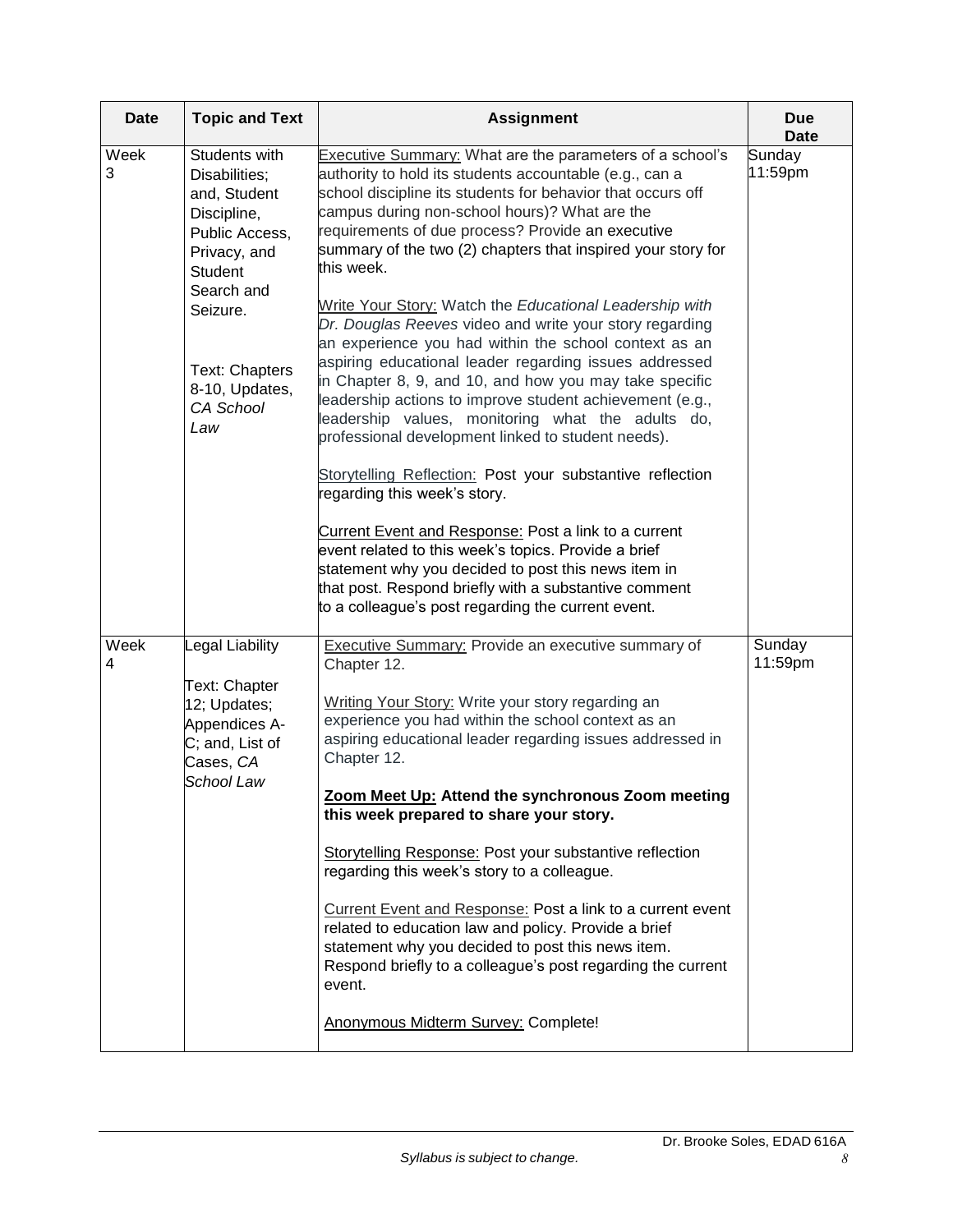| <b>Date</b> | <b>Topic and Text</b>                                                                                                                                                                               | <b>Assignment</b>                                                                                                                                                                                                                                                                                                                                                                                                                                                                                                                                                                                                                                                                                                                                                                                                                                                                                                                                                                                                                                                                                                                                                                                                                   | <b>Due</b><br><b>Date</b> |
|-------------|-----------------------------------------------------------------------------------------------------------------------------------------------------------------------------------------------------|-------------------------------------------------------------------------------------------------------------------------------------------------------------------------------------------------------------------------------------------------------------------------------------------------------------------------------------------------------------------------------------------------------------------------------------------------------------------------------------------------------------------------------------------------------------------------------------------------------------------------------------------------------------------------------------------------------------------------------------------------------------------------------------------------------------------------------------------------------------------------------------------------------------------------------------------------------------------------------------------------------------------------------------------------------------------------------------------------------------------------------------------------------------------------------------------------------------------------------------|---------------------------|
| Week<br>3   | Students with<br>Disabilities;<br>and, Student<br>Discipline,<br>Public Access,<br>Privacy, and<br>Student<br>Search and<br>Seizure.<br><b>Text: Chapters</b><br>8-10, Updates,<br>CA School<br>Law | Executive Summary: What are the parameters of a school's<br>authority to hold its students accountable (e.g., can a<br>school discipline its students for behavior that occurs off<br>campus during non-school hours)? What are the<br>requirements of due process? Provide an executive<br>summary of the two (2) chapters that inspired your story for<br>this week.<br>Write Your Story: Watch the Educational Leadership with<br>Dr. Douglas Reeves video and write your story regarding<br>an experience you had within the school context as an<br>aspiring educational leader regarding issues addressed<br>in Chapter 8, 9, and 10, and how you may take specific<br>leadership actions to improve student achievement (e.g.,<br>leadership values, monitoring what the adults do,<br>professional development linked to student needs).<br>Storytelling Reflection: Post your substantive reflection<br>regarding this week's story.<br>Current Event and Response: Post a link to a current<br>event related to this week's topics. Provide a brief<br>statement why you decided to post this news item in<br>that post. Respond briefly with a substantive comment<br>to a colleague's post regarding the current event. | Sunday<br>11:59pm         |
| Week<br>4   | Legal Liability<br><b>Text: Chapter</b><br>12; Updates;<br>Appendices A-<br>C; and, List of<br>Cases, CA<br>School Law                                                                              | <b>Executive Summary: Provide an executive summary of</b><br>Chapter 12.<br>Writing Your Story: Write your story regarding an<br>experience you had within the school context as an<br>aspiring educational leader regarding issues addressed in<br>Chapter 12.<br>Zoom Meet Up: Attend the synchronous Zoom meeting<br>this week prepared to share your story.<br>Storytelling Response: Post your substantive reflection<br>regarding this week's story to a colleague.<br>Current Event and Response: Post a link to a current event<br>related to education law and policy. Provide a brief<br>statement why you decided to post this news item.<br>Respond briefly to a colleague's post regarding the current<br>event.<br>Anonymous Midterm Survey: Complete!                                                                                                                                                                                                                                                                                                                                                                                                                                                                | Sunday<br>11:59pm         |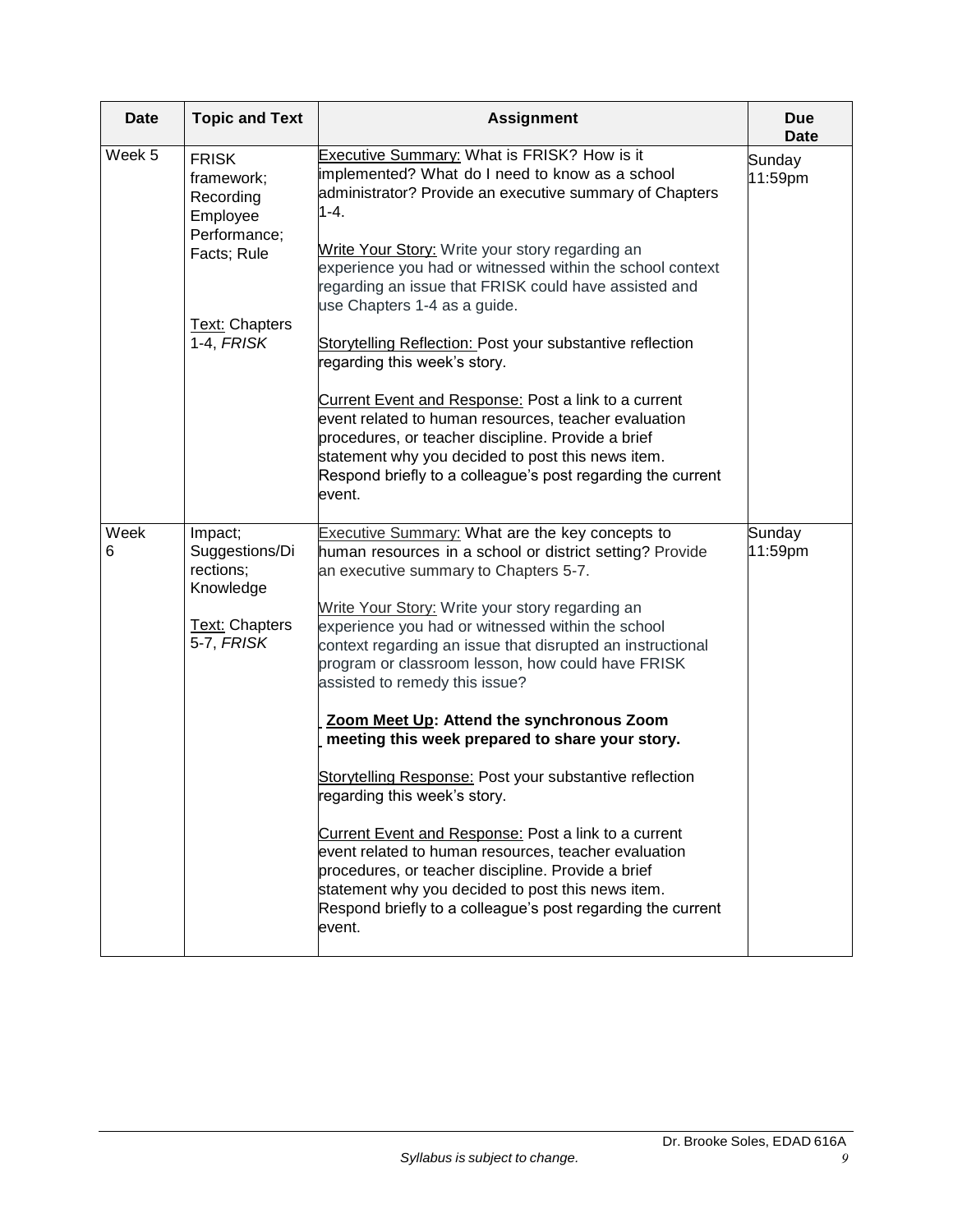| <b>Date</b> | <b>Topic and Text</b>                                                                                                     | <b>Assignment</b>                                                                                                                                                                                                                                                                                                                                                                                                                                                                                                                                                                                                                                                                                                                                                                                                                                                                                                | <b>Due</b><br><b>Date</b> |
|-------------|---------------------------------------------------------------------------------------------------------------------------|------------------------------------------------------------------------------------------------------------------------------------------------------------------------------------------------------------------------------------------------------------------------------------------------------------------------------------------------------------------------------------------------------------------------------------------------------------------------------------------------------------------------------------------------------------------------------------------------------------------------------------------------------------------------------------------------------------------------------------------------------------------------------------------------------------------------------------------------------------------------------------------------------------------|---------------------------|
| Week 5      | <b>FRISK</b><br>framework;<br>Recording<br>Employee<br>Performance;<br>Facts; Rule<br><b>Text: Chapters</b><br>1-4, FRISK | Executive Summary: What is FRISK? How is it<br>implemented? What do I need to know as a school<br>administrator? Provide an executive summary of Chapters<br>1-4.<br>Write Your Story: Write your story regarding an<br>experience you had or witnessed within the school context<br>regarding an issue that FRISK could have assisted and<br>use Chapters 1-4 as a guide.<br>Storytelling Reflection: Post your substantive reflection<br>regarding this week's story.<br>Current Event and Response: Post a link to a current<br>event related to human resources, teacher evaluation<br>procedures, or teacher discipline. Provide a brief<br>statement why you decided to post this news item.<br>Respond briefly to a colleague's post regarding the current<br>event.                                                                                                                                      | Sunday<br>11:59pm         |
| Week<br>6   | Impact;<br>Suggestions/Di<br>rections;<br>Knowledge<br>Text: Chapters<br>5-7, FRISK                                       | Executive Summary: What are the key concepts to<br>human resources in a school or district setting? Provide<br>an executive summary to Chapters 5-7.<br>Write Your Story: Write your story regarding an<br>experience you had or witnessed within the school<br>context regarding an issue that disrupted an instructional<br>program or classroom lesson, how could have FRISK<br>assisted to remedy this issue?<br>Zoom Meet Up: Attend the synchronous Zoom<br>meeting this week prepared to share your story.<br>Storytelling Response: Post your substantive reflection<br>regarding this week's story.<br>Current Event and Response: Post a link to a current<br>event related to human resources, teacher evaluation<br>procedures, or teacher discipline. Provide a brief<br>statement why you decided to post this news item.<br>Respond briefly to a colleague's post regarding the current<br>event. | Sunday<br>11:59pm         |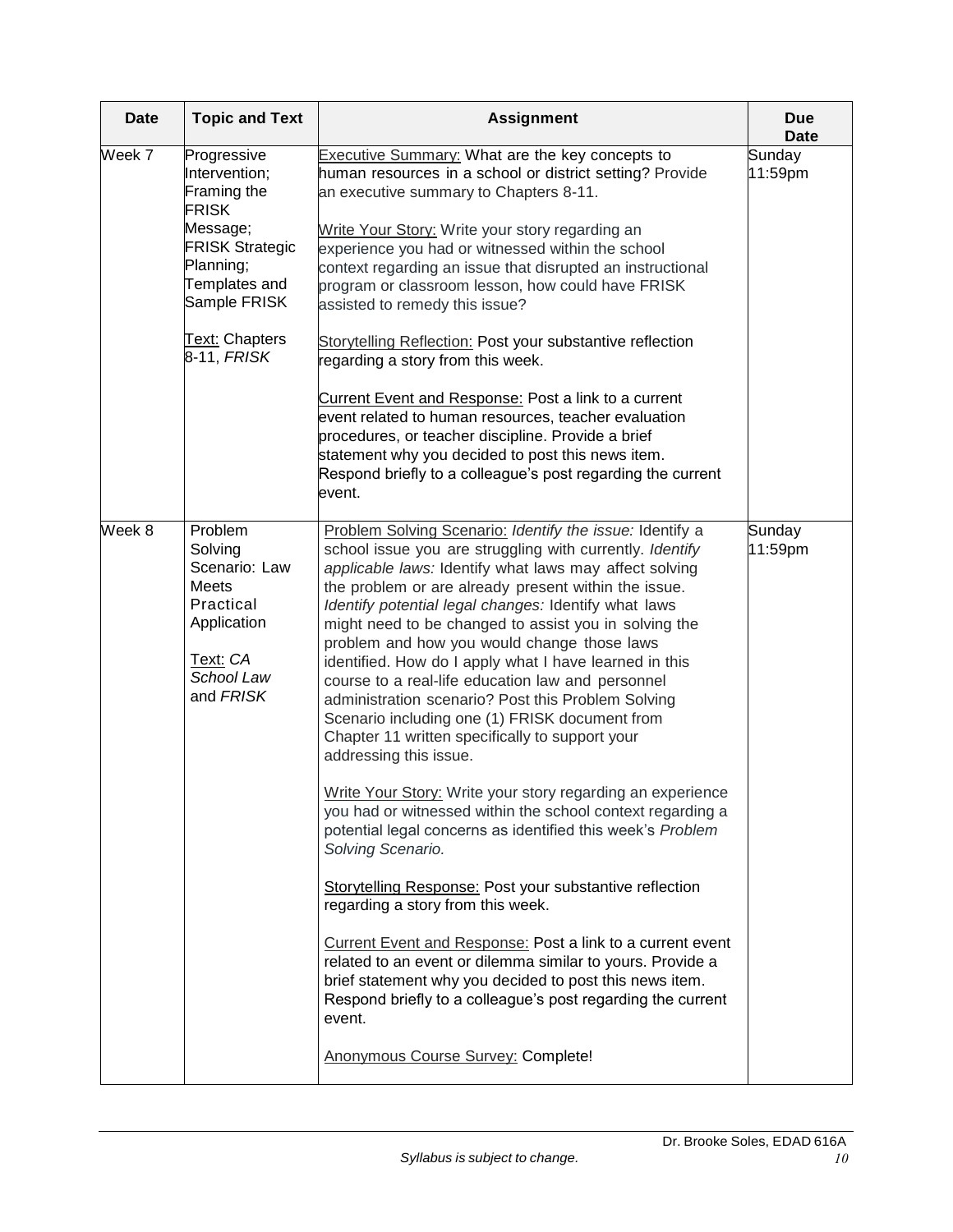| <b>Date</b>                                                                                                                                                                                | <b>Topic and Text</b>                                                                                                  | <b>Assignment</b>                                                                                                                                                                                                                                                                                                                                                                                                                                                                                                                                                                                                                                                                                                                                                                                                                                                                                                                                                                                                                                                                                                                                                                                                                                                                      | <b>Due</b><br><b>Date</b> |
|--------------------------------------------------------------------------------------------------------------------------------------------------------------------------------------------|------------------------------------------------------------------------------------------------------------------------|----------------------------------------------------------------------------------------------------------------------------------------------------------------------------------------------------------------------------------------------------------------------------------------------------------------------------------------------------------------------------------------------------------------------------------------------------------------------------------------------------------------------------------------------------------------------------------------------------------------------------------------------------------------------------------------------------------------------------------------------------------------------------------------------------------------------------------------------------------------------------------------------------------------------------------------------------------------------------------------------------------------------------------------------------------------------------------------------------------------------------------------------------------------------------------------------------------------------------------------------------------------------------------------|---------------------------|
| Week 7<br>Progressive<br>Intervention;<br>Framing the<br><b>FRISK</b><br>Message;<br><b>FRISK Strategic</b><br>Planning;<br>Templates and<br>Sample FRISK<br>Text: Chapters<br>8-11, FRISK |                                                                                                                        | <b>Executive Summary:</b> What are the key concepts to<br>human resources in a school or district setting? Provide<br>an executive summary to Chapters 8-11.<br>Write Your Story: Write your story regarding an<br>experience you had or witnessed within the school<br>context regarding an issue that disrupted an instructional<br>program or classroom lesson, how could have FRISK<br>assisted to remedy this issue?<br>Storytelling Reflection: Post your substantive reflection<br>regarding a story from this week.<br>Current Event and Response: Post a link to a current<br>event related to human resources, teacher evaluation<br>procedures, or teacher discipline. Provide a brief<br>statement why you decided to post this news item.<br>Respond briefly to a colleague's post regarding the current<br>event.                                                                                                                                                                                                                                                                                                                                                                                                                                                        | Sunday<br>11:59pm         |
| Week 8                                                                                                                                                                                     | Problem<br>Solving<br>Scenario: Law<br><b>Meets</b><br>Practical<br>Application<br>Text: CA<br>School Law<br>and FRISK | Problem Solving Scenario: Identify the issue: Identify a<br>school issue you are struggling with currently. Identify<br>applicable laws: Identify what laws may affect solving<br>the problem or are already present within the issue.<br>Identify potential legal changes: Identify what laws<br>might need to be changed to assist you in solving the<br>problem and how you would change those laws<br>identified. How do I apply what I have learned in this<br>course to a real-life education law and personnel<br>administration scenario? Post this Problem Solving<br>Scenario including one (1) FRISK document from<br>Chapter 11 written specifically to support your<br>addressing this issue.<br>Write Your Story: Write your story regarding an experience<br>you had or witnessed within the school context regarding a<br>potential legal concerns as identified this week's Problem<br>Solving Scenario.<br>Storytelling Response: Post your substantive reflection<br>regarding a story from this week.<br><b>Current Event and Response: Post a link to a current event</b><br>related to an event or dilemma similar to yours. Provide a<br>brief statement why you decided to post this news item.<br>Respond briefly to a colleague's post regarding the current | Sunday<br>11:59pm         |
|                                                                                                                                                                                            |                                                                                                                        | event.<br>Anonymous Course Survey: Complete!                                                                                                                                                                                                                                                                                                                                                                                                                                                                                                                                                                                                                                                                                                                                                                                                                                                                                                                                                                                                                                                                                                                                                                                                                                           |                           |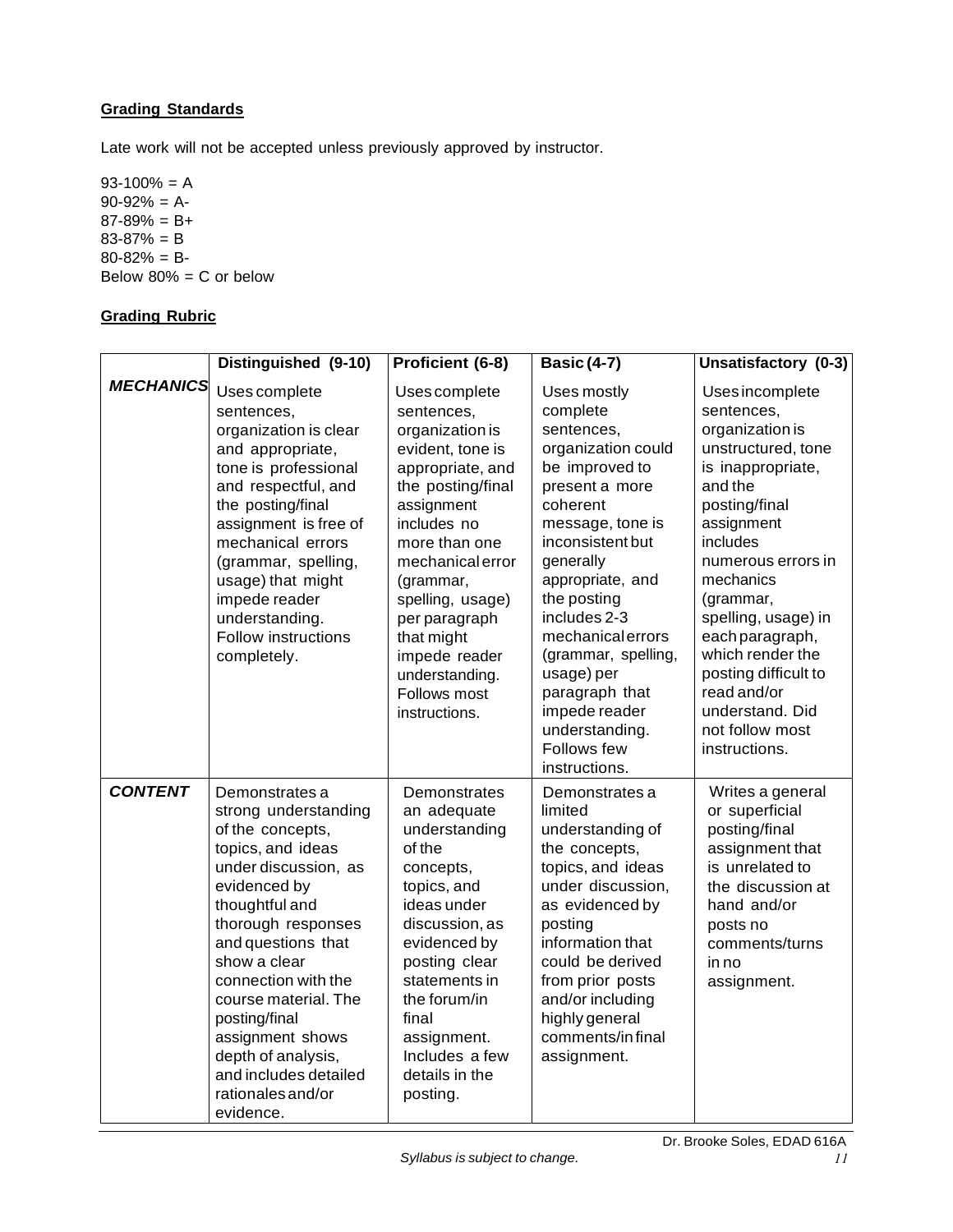# <span id="page-10-0"></span>**Grading Standards**

Late work will not be accepted unless previously approved by instructor.

 $93-100% = A$  $90-92% = A-$ 87-89% = B+ 83-87% = B 80-82% = B-Below  $80\% = C$  or below

# <span id="page-10-1"></span>**Grading Rubric**

|                  | Distinguished (9-10)                                                                                                                                                                                                                                                                                                                                                       | Proficient (6-8)                                                                                                                                                                                                                                                                                                  | <b>Basic (4-7)</b>                                                                                                                                                                                                                                                                                                                                                | Unsatisfactory (0-3)                                                                                                                                                                                                                                                                                                                                          |
|------------------|----------------------------------------------------------------------------------------------------------------------------------------------------------------------------------------------------------------------------------------------------------------------------------------------------------------------------------------------------------------------------|-------------------------------------------------------------------------------------------------------------------------------------------------------------------------------------------------------------------------------------------------------------------------------------------------------------------|-------------------------------------------------------------------------------------------------------------------------------------------------------------------------------------------------------------------------------------------------------------------------------------------------------------------------------------------------------------------|---------------------------------------------------------------------------------------------------------------------------------------------------------------------------------------------------------------------------------------------------------------------------------------------------------------------------------------------------------------|
| <b>MECHANICS</b> | Uses complete<br>sentences,<br>organization is clear<br>and appropriate,<br>tone is professional<br>and respectful, and<br>the posting/final<br>assignment is free of<br>mechanical errors<br>(grammar, spelling,<br>usage) that might<br>impede reader<br>understanding.<br>Follow instructions<br>completely.                                                            | Uses complete<br>sentences,<br>organization is<br>evident, tone is<br>appropriate, and<br>the posting/final<br>assignment<br>includes no<br>more than one<br>mechanical error<br>(grammar,<br>spelling, usage)<br>per paragraph<br>that might<br>impede reader<br>understanding.<br>Follows most<br>instructions. | Uses mostly<br>complete<br>sentences,<br>organization could<br>be improved to<br>present a more<br>coherent<br>message, tone is<br>inconsistent but<br>generally<br>appropriate, and<br>the posting<br>includes 2-3<br>mechanicalerrors<br>(grammar, spelling,<br>usage) per<br>paragraph that<br>impede reader<br>understanding.<br>Follows few<br>instructions. | Uses incomplete<br>sentences,<br>organization is<br>unstructured, tone<br>is inappropriate,<br>and the<br>posting/final<br>assignment<br>includes<br>numerous errors in<br>mechanics<br>(grammar,<br>spelling, usage) in<br>each paragraph,<br>which render the<br>posting difficult to<br>read and/or<br>understand. Did<br>not follow most<br>instructions. |
| <b>CONTENT</b>   | Demonstrates a<br>strong understanding<br>of the concepts,<br>topics, and ideas<br>under discussion, as<br>evidenced by<br>thoughtful and<br>thorough responses<br>and questions that<br>show a clear<br>connection with the<br>course material. The<br>posting/final<br>assignment shows<br>depth of analysis,<br>and includes detailed<br>rationales and/or<br>evidence. | Demonstrates<br>an adequate<br>understanding<br>of the<br>concepts,<br>topics, and<br>ideas under<br>discussion, as<br>evidenced by<br>posting clear<br>statements in<br>the forum/in<br>final<br>assignment.<br>Includes a few<br>details in the<br>posting.                                                     | Demonstrates a<br>limited<br>understanding of<br>the concepts,<br>topics, and ideas<br>under discussion,<br>as evidenced by<br>posting<br>information that<br>could be derived<br>from prior posts<br>and/or including<br>highly general<br>comments/infinal<br>assignment.                                                                                       | Writes a general<br>or superficial<br>posting/final<br>assignment that<br>is unrelated to<br>the discussion at<br>hand and/or<br>posts no<br>comments/turns<br>in no<br>assignment.                                                                                                                                                                           |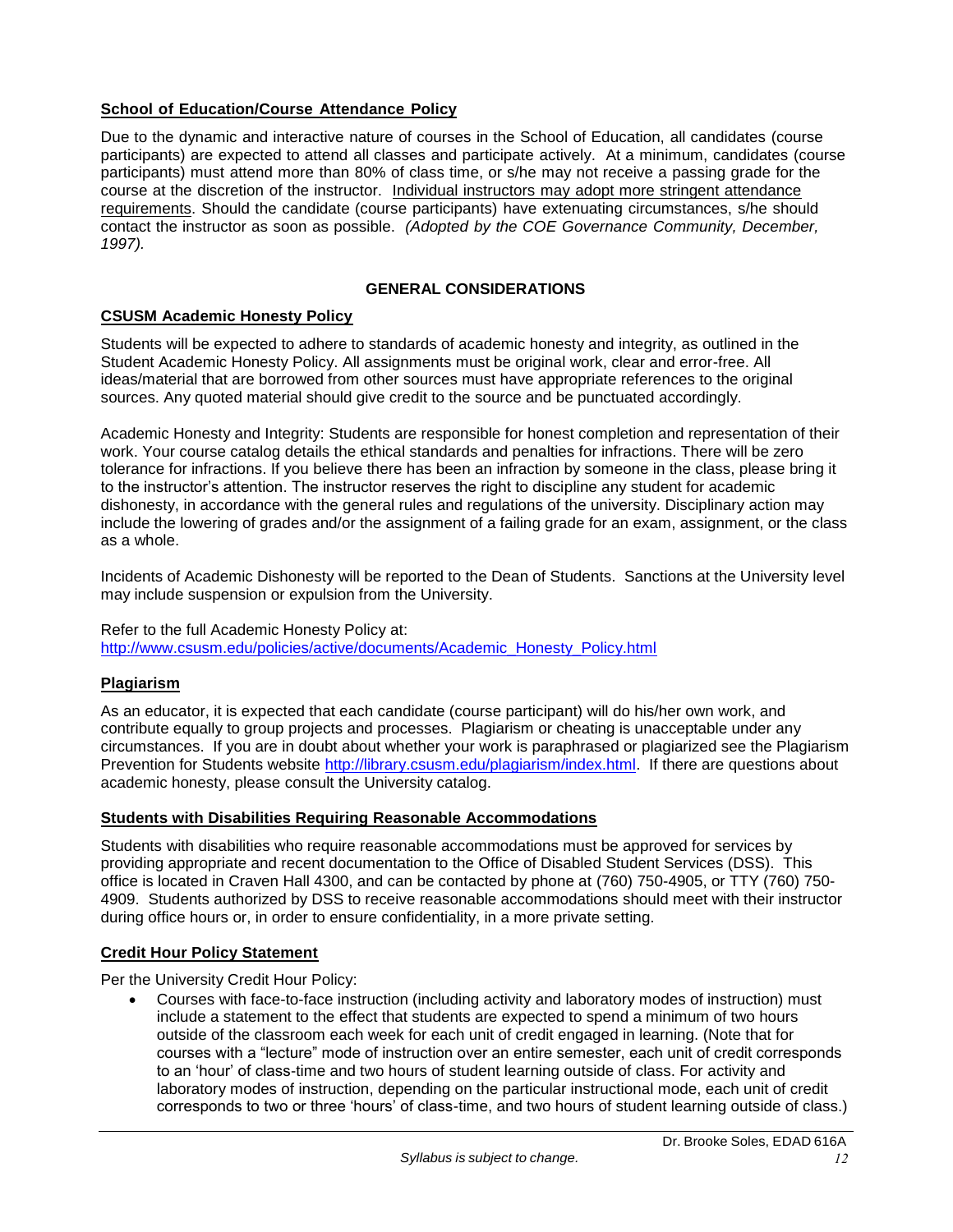# <span id="page-11-0"></span>**School of Education/Course Attendance Policy**

Due to the dynamic and interactive nature of courses in the School of Education, all candidates (course participants) are expected to attend all classes and participate actively. At a minimum, candidates (course participants) must attend more than 80% of class time, or s/he may not receive a passing grade for the course at the discretion of the instructor. Individual instructors may adopt more stringent attendance requirements. Should the candidate (course participants) have extenuating circumstances, s/he should contact the instructor as soon as possible. *(Adopted by the COE Governance Community, December, 1997).*

# **GENERAL CONSIDERATIONS**

# <span id="page-11-2"></span><span id="page-11-1"></span>**CSUSM Academic Honesty Policy**

Students will be expected to adhere to standards of academic honesty and integrity, as outlined in the Student Academic Honesty Policy. All assignments must be original work, clear and error-free. All ideas/material that are borrowed from other sources must have appropriate references to the original sources. Any quoted material should give credit to the source and be punctuated accordingly.

Academic Honesty and Integrity: Students are responsible for honest completion and representation of their work. Your course catalog details the ethical standards and penalties for infractions. There will be zero tolerance for infractions. If you believe there has been an infraction by someone in the class, please bring it to the instructor's attention. The instructor reserves the right to discipline any student for academic dishonesty, in accordance with the general rules and regulations of the university. Disciplinary action may include the lowering of grades and/or the assignment of a failing grade for an exam, assignment, or the class as a whole.

Incidents of Academic Dishonesty will be reported to the Dean of Students. Sanctions at the University level may include suspension or expulsion from the University.

#### Refer to the full Academic Honesty Policy at: [http://www.csusm.edu/policies/active/documents/Academic\\_Honesty\\_Policy.html](http://www.csusm.edu/policies/active/documents/Academic_Honesty_Policy.html)

# <span id="page-11-3"></span>**Plagiarism**

As an educator, it is expected that each candidate (course participant) will do his/her own work, and contribute equally to group projects and processes. Plagiarism or cheating is unacceptable under any circumstances. If you are in doubt about whether your work is paraphrased or plagiarized see the Plagiarism Prevention for Students website [http://library.csusm.edu/plagiarism/index.html.](http://library.csusm.edu/plagiarism/index.html) If there are questions about academic honesty, please consult the University catalog.

# <span id="page-11-4"></span>**Students with Disabilities Requiring Reasonable Accommodations**

Students with disabilities who require reasonable accommodations must be approved for services by providing appropriate and recent documentation to the Office of Disabled Student Services (DSS). This office is located in Craven Hall 4300, and can be contacted by phone at (760) 750-4905, or TTY (760) 750- 4909. Students authorized by DSS to receive reasonable accommodations should meet with their instructor during office hours or, in order to ensure confidentiality, in a more private setting.

# <span id="page-11-5"></span>**Credit Hour Policy Statement**

Per the University Credit Hour Policy:

 Courses with face-to-face instruction (including activity and laboratory modes of instruction) must include a statement to the effect that students are expected to spend a minimum of two hours outside of the classroom each week for each unit of credit engaged in learning. (Note that for courses with a "lecture" mode of instruction over an entire semester, each unit of credit corresponds to an 'hour' of class-time and two hours of student learning outside of class. For activity and laboratory modes of instruction, depending on the particular instructional mode, each unit of credit corresponds to two or three 'hours' of class-time, and two hours of student learning outside of class.)